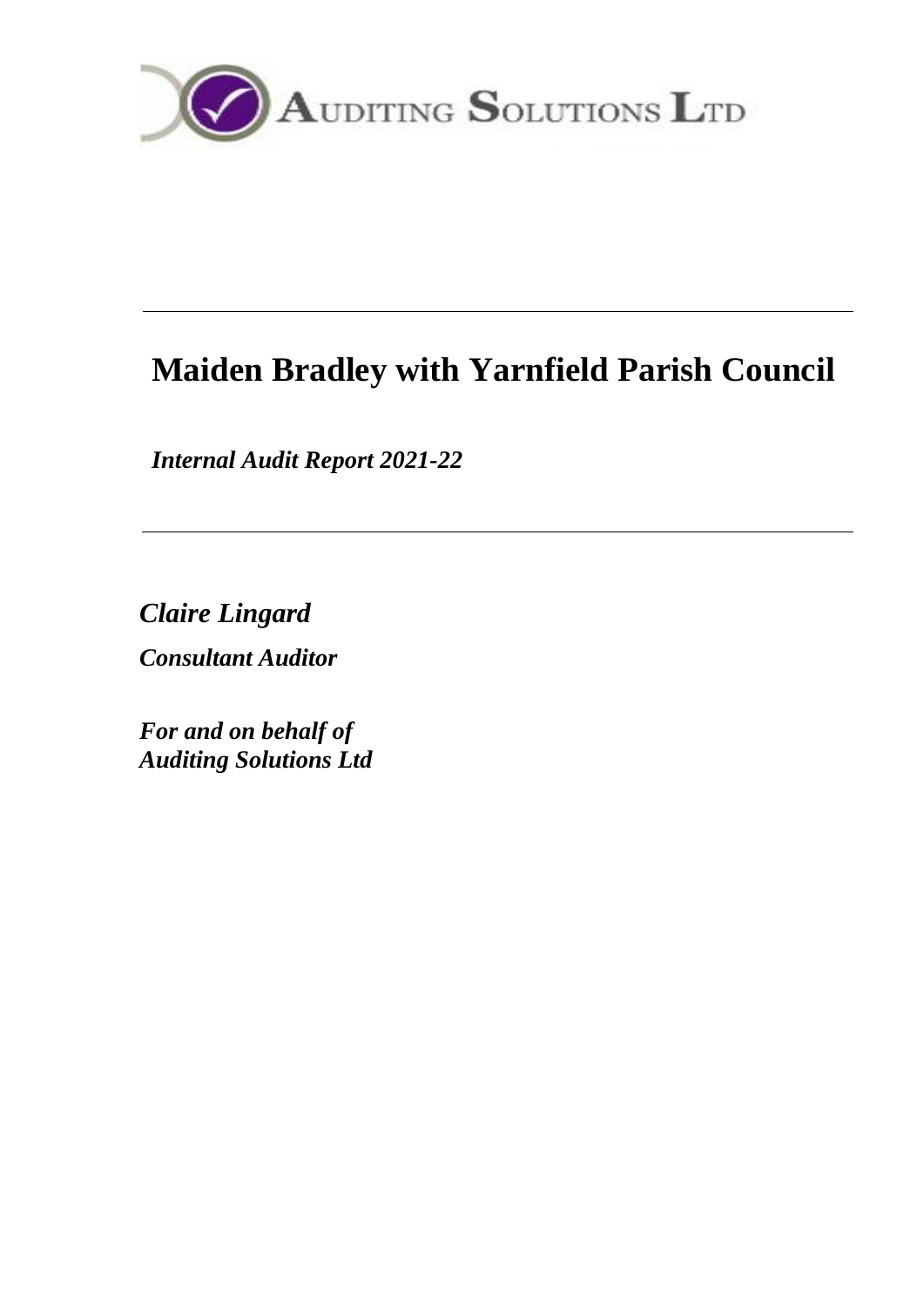

# **Maiden Bradley with Yarnfield Parish Council**

*Internal Audit Report 2021-22*

*Claire Lingard Consultant Auditor*

*For and on behalf of Auditing Solutions Ltd*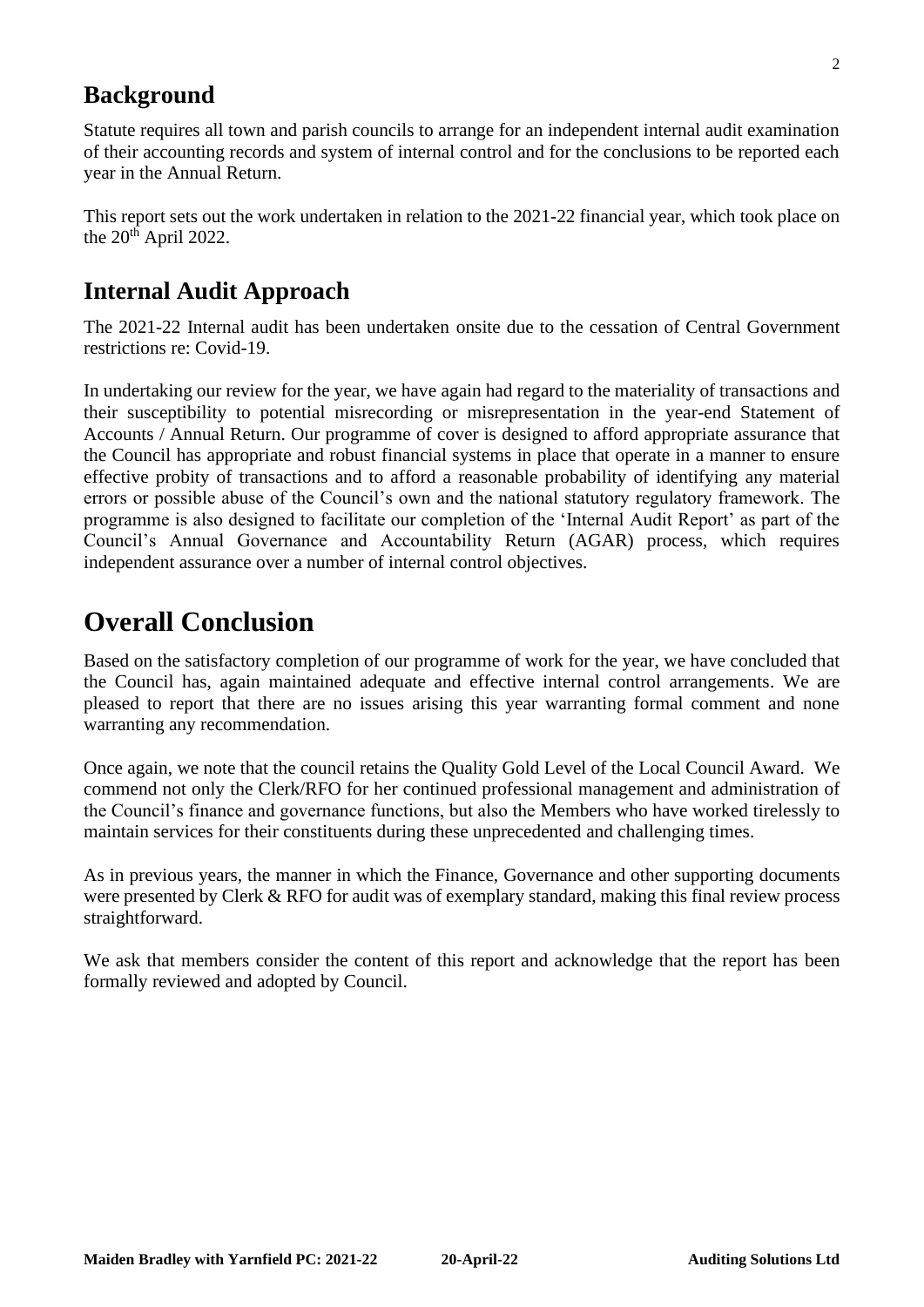## **Background**

Statute requires all town and parish councils to arrange for an independent internal audit examination of their accounting records and system of internal control and for the conclusions to be reported each year in the Annual Return.

This report sets out the work undertaken in relation to the 2021-22 financial year, which took place on the  $20<sup>th</sup>$  April 2022.

# **Internal Audit Approach**

The 2021-22 Internal audit has been undertaken onsite due to the cessation of Central Government restrictions re: Covid-19.

In undertaking our review for the year, we have again had regard to the materiality of transactions and their susceptibility to potential misrecording or misrepresentation in the year-end Statement of Accounts / Annual Return. Our programme of cover is designed to afford appropriate assurance that the Council has appropriate and robust financial systems in place that operate in a manner to ensure effective probity of transactions and to afford a reasonable probability of identifying any material errors or possible abuse of the Council's own and the national statutory regulatory framework. The programme is also designed to facilitate our completion of the 'Internal Audit Report' as part of the Council's Annual Governance and Accountability Return (AGAR) process, which requires independent assurance over a number of internal control objectives.

# **Overall Conclusion**

Based on the satisfactory completion of our programme of work for the year, we have concluded that the Council has, again maintained adequate and effective internal control arrangements. We are pleased to report that there are no issues arising this year warranting formal comment and none warranting any recommendation.

Once again, we note that the council retains the Quality Gold Level of the Local Council Award. We commend not only the Clerk/RFO for her continued professional management and administration of the Council's finance and governance functions, but also the Members who have worked tirelessly to maintain services for their constituents during these unprecedented and challenging times.

As in previous years, the manner in which the Finance, Governance and other supporting documents were presented by Clerk & RFO for audit was of exemplary standard, making this final review process straightforward.

We ask that members consider the content of this report and acknowledge that the report has been formally reviewed and adopted by Council.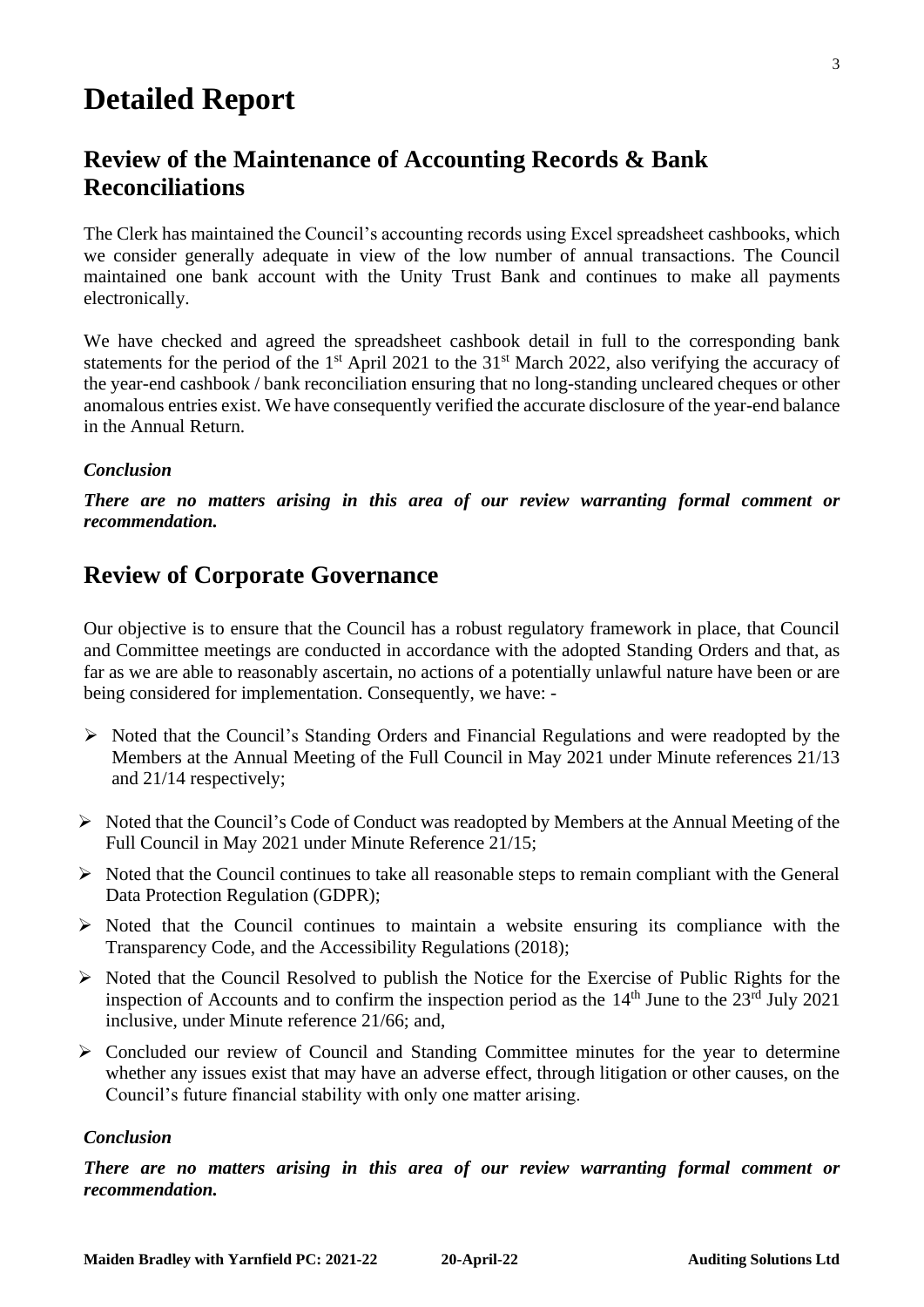# **Detailed Report**

## **Review of the Maintenance of Accounting Records & Bank Reconciliations**

The Clerk has maintained the Council's accounting records using Excel spreadsheet cashbooks, which we consider generally adequate in view of the low number of annual transactions. The Council maintained one bank account with the Unity Trust Bank and continues to make all payments electronically.

We have checked and agreed the spreadsheet cashbook detail in full to the corresponding bank statements for the period of the  $1<sup>st</sup>$  April 2021 to the 31<sup>st</sup> March 2022, also verifying the accuracy of the year-end cashbook / bank reconciliation ensuring that no long-standing uncleared cheques or other anomalous entries exist. We have consequently verified the accurate disclosure of the year-end balance in the Annual Return.

#### *Conclusion*

*There are no matters arising in this area of our review warranting formal comment or recommendation.* 

### **Review of Corporate Governance**

Our objective is to ensure that the Council has a robust regulatory framework in place, that Council and Committee meetings are conducted in accordance with the adopted Standing Orders and that, as far as we are able to reasonably ascertain, no actions of a potentially unlawful nature have been or are being considered for implementation. Consequently, we have: -

- ➢ Noted that the Council's Standing Orders and Financial Regulations and were readopted by the Members at the Annual Meeting of the Full Council in May 2021 under Minute references 21/13 and 21/14 respectively;
- ➢ Noted that the Council's Code of Conduct was readopted by Members at the Annual Meeting of the Full Council in May 2021 under Minute Reference 21/15;
- ➢ Noted that the Council continues to take all reasonable steps to remain compliant with the General Data Protection Regulation (GDPR);
- ➢ Noted that the Council continues to maintain a website ensuring its compliance with the Transparency Code, and the Accessibility Regulations (2018);
- ➢ Noted that the Council Resolved to publish the Notice for the Exercise of Public Rights for the inspection of Accounts and to confirm the inspection period as the  $14<sup>th</sup>$  June to the  $23<sup>rd</sup>$  July 2021 inclusive, under Minute reference 21/66; and,
- ➢ Concluded our review of Council and Standing Committee minutes for the year to determine whether any issues exist that may have an adverse effect, through litigation or other causes, on the Council's future financial stability with only one matter arising.

#### *Conclusion*

*There are no matters arising in this area of our review warranting formal comment or recommendation.*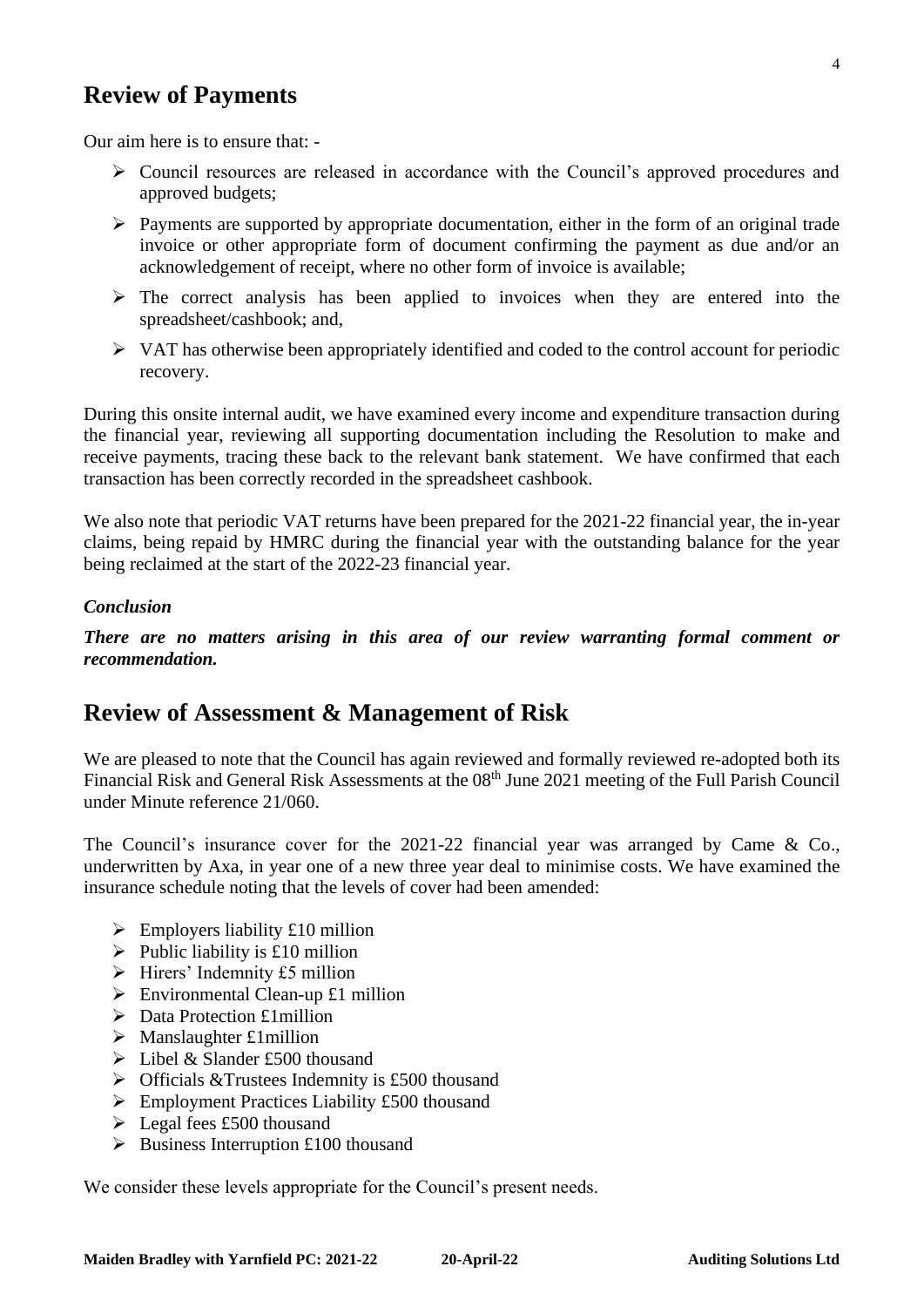### **Review of Payments**

Our aim here is to ensure that: -

- ➢ Council resources are released in accordance with the Council's approved procedures and approved budgets;
- ➢ Payments are supported by appropriate documentation, either in the form of an original trade invoice or other appropriate form of document confirming the payment as due and/or an acknowledgement of receipt, where no other form of invoice is available;
- $\triangleright$  The correct analysis has been applied to invoices when they are entered into the spreadsheet/cashbook; and,
- $\triangleright$  VAT has otherwise been appropriately identified and coded to the control account for periodic recovery.

During this onsite internal audit, we have examined every income and expenditure transaction during the financial year, reviewing all supporting documentation including the Resolution to make and receive payments, tracing these back to the relevant bank statement. We have confirmed that each transaction has been correctly recorded in the spreadsheet cashbook.

We also note that periodic VAT returns have been prepared for the 2021-22 financial year, the in-year claims, being repaid by HMRC during the financial year with the outstanding balance for the year being reclaimed at the start of the 2022-23 financial year.

#### *Conclusion*

*There are no matters arising in this area of our review warranting formal comment or recommendation.* 

### **Review of Assessment & Management of Risk**

We are pleased to note that the Council has again reviewed and formally reviewed re-adopted both its Financial Risk and General Risk Assessments at the 08<sup>th</sup> June 2021 meeting of the Full Parish Council under Minute reference 21/060.

The Council's insurance cover for the 2021-22 financial year was arranged by Came & Co., underwritten by Axa, in year one of a new three year deal to minimise costs. We have examined the insurance schedule noting that the levels of cover had been amended:

- $\triangleright$  Employers liability £10 million
- $\triangleright$  Public liability is £10 million
- $\triangleright$  Hirers' Indemnity £5 million
- $\triangleright$  Environmental Clean-up £1 million
- ➢ Data Protection £1million
- $\triangleright$  Manslaughter £1 million
- ➢ Libel & Slander £500 thousand
- $\triangleright$  Officials & Trustees Indemnity is £500 thousand
- ➢ Employment Practices Liability £500 thousand
- ➢ Legal fees £500 thousand
- $\triangleright$  Business Interruption £100 thousand

We consider these levels appropriate for the Council's present needs.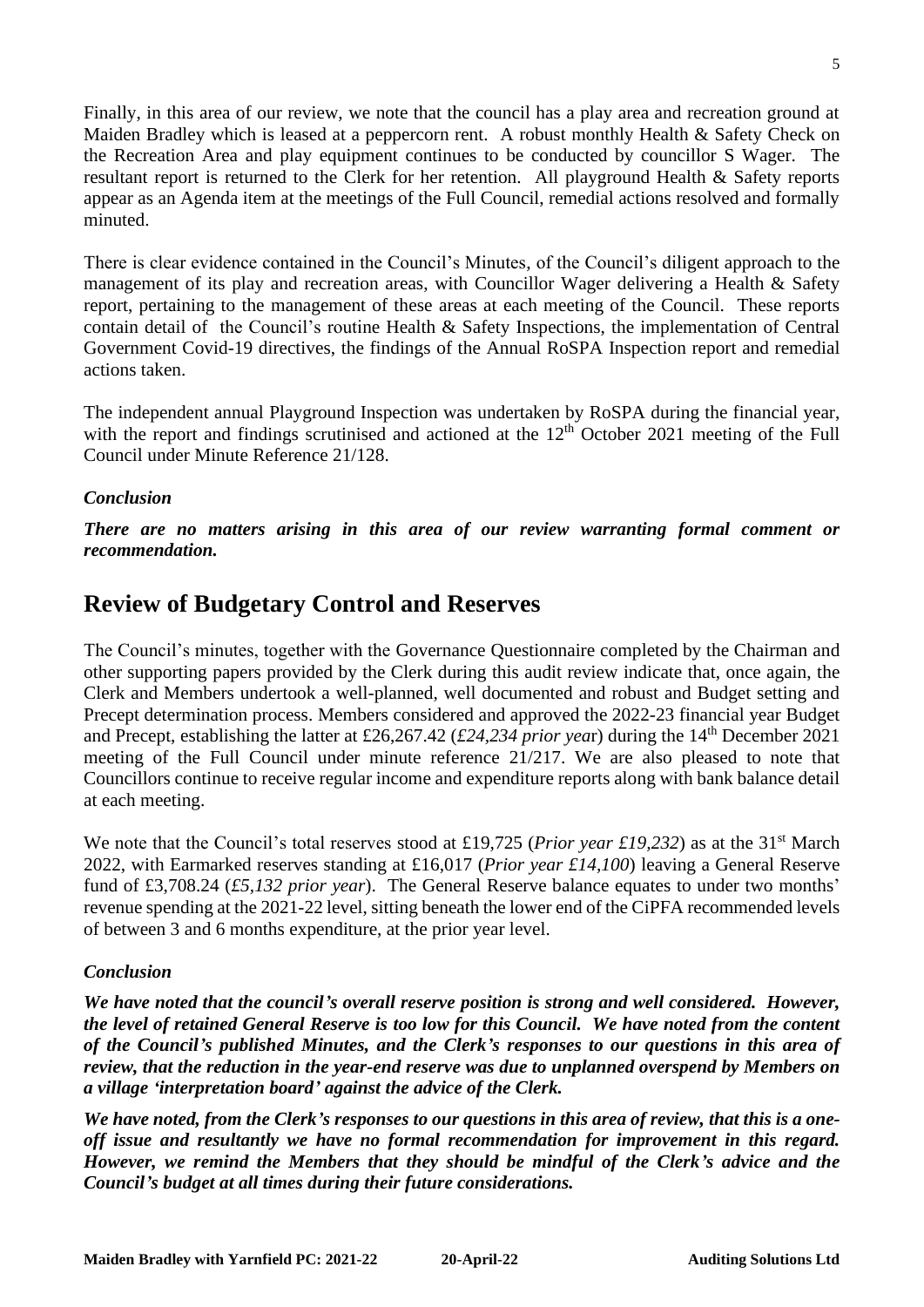Finally, in this area of our review, we note that the council has a play area and recreation ground at Maiden Bradley which is leased at a peppercorn rent. A robust monthly Health & Safety Check on the Recreation Area and play equipment continues to be conducted by councillor S Wager. The resultant report is returned to the Clerk for her retention. All playground Health & Safety reports appear as an Agenda item at the meetings of the Full Council, remedial actions resolved and formally minuted.

There is clear evidence contained in the Council's Minutes, of the Council's diligent approach to the management of its play and recreation areas, with Councillor Wager delivering a Health & Safety report, pertaining to the management of these areas at each meeting of the Council. These reports contain detail of the Council's routine Health & Safety Inspections, the implementation of Central Government Covid-19 directives, the findings of the Annual RoSPA Inspection report and remedial actions taken.

The independent annual Playground Inspection was undertaken by RoSPA during the financial year, with the report and findings scrutinised and actioned at the  $12<sup>th</sup>$  October 2021 meeting of the Full Council under Minute Reference 21/128.

#### *Conclusion*

*There are no matters arising in this area of our review warranting formal comment or recommendation.* 

### **Review of Budgetary Control and Reserves**

The Council's minutes, together with the Governance Questionnaire completed by the Chairman and other supporting papers provided by the Clerk during this audit review indicate that, once again, the Clerk and Members undertook a well-planned, well documented and robust and Budget setting and Precept determination process. Members considered and approved the 2022-23 financial year Budget and Precept, establishing the latter at £26,267.42 (*£24,234 prior yea*r) during the 14th December 2021 meeting of the Full Council under minute reference 21/217. We are also pleased to note that Councillors continue to receive regular income and expenditure reports along with bank balance detail at each meeting.

We note that the Council's total reserves stood at £19,725 (*Prior year £19,232*) as at the 31<sup>st</sup> March 2022, with Earmarked reserves standing at £16,017 (*Prior year £14,100*) leaving a General Reserve fund of £3,708.24 (*£5,132 prior year*). The General Reserve balance equates to under two months' revenue spending at the 2021-22 level, sitting beneath the lower end of the CiPFA recommended levels of between 3 and 6 months expenditure, at the prior year level.

#### *Conclusion*

*We have noted that the council's overall reserve position is strong and well considered. However, the level of retained General Reserve is too low for this Council. We have noted from the content of the Council's published Minutes, and the Clerk's responses to our questions in this area of review, that the reduction in the year-end reserve was due to unplanned overspend by Members on a village 'interpretation board' against the advice of the Clerk.*

*We have noted, from the Clerk's responses to our questions in this area of review, that this is a oneoff issue and resultantly we have no formal recommendation for improvement in this regard. However, we remind the Members that they should be mindful of the Clerk's advice and the Council's budget at all times during their future considerations.*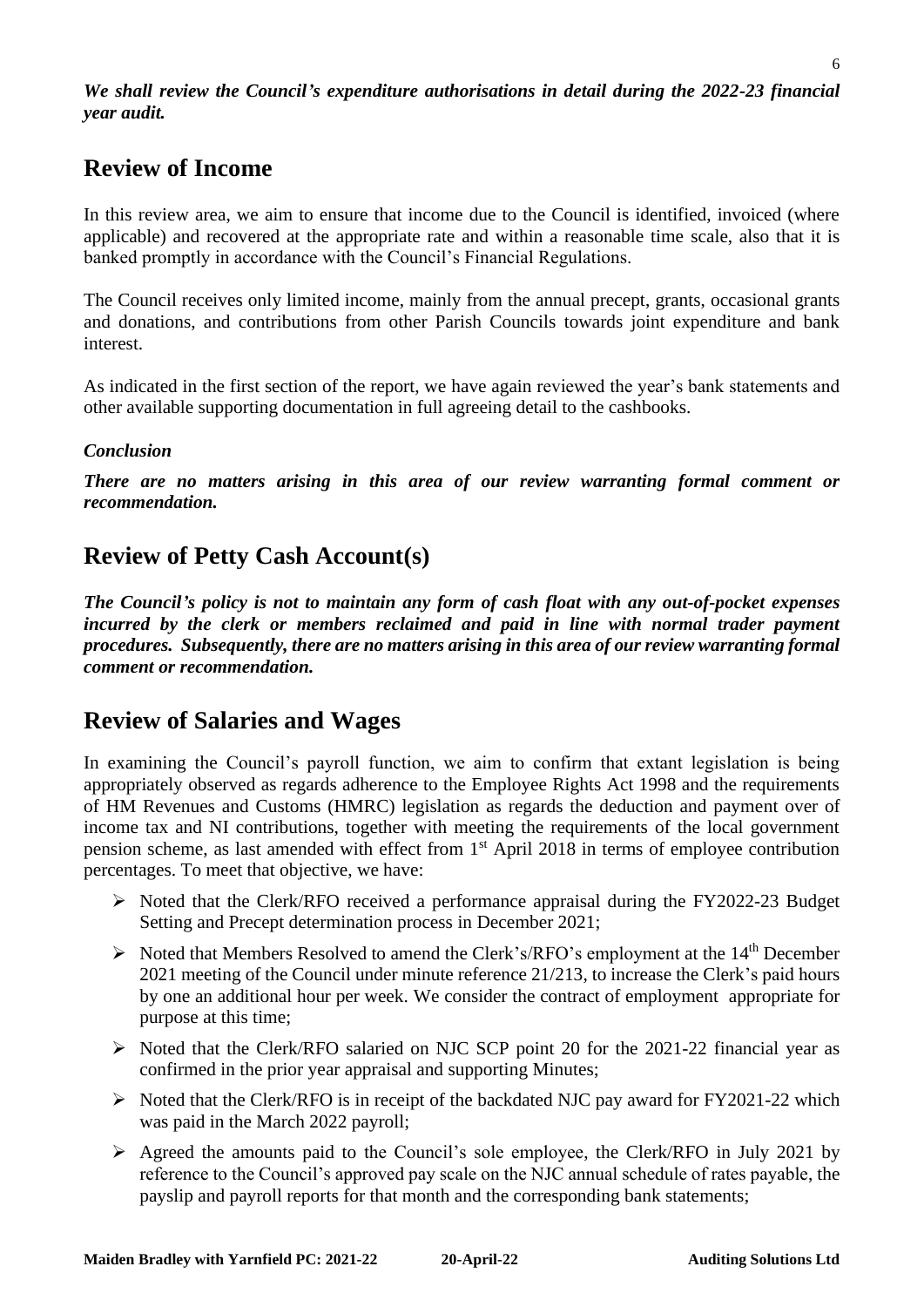# **Review of Income**

In this review area, we aim to ensure that income due to the Council is identified, invoiced (where applicable) and recovered at the appropriate rate and within a reasonable time scale, also that it is banked promptly in accordance with the Council's Financial Regulations.

The Council receives only limited income, mainly from the annual precept, grants, occasional grants and donations, and contributions from other Parish Councils towards joint expenditure and bank interest.

As indicated in the first section of the report, we have again reviewed the year's bank statements and other available supporting documentation in full agreeing detail to the cashbooks.

#### *Conclusion*

*There are no matters arising in this area of our review warranting formal comment or recommendation.* 

# **Review of Petty Cash Account(s)**

*The Council's policy is not to maintain any form of cash float with any out-of-pocket expenses incurred by the clerk or members reclaimed and paid in line with normal trader payment procedures. Subsequently, there are no matters arising in this area of our review warranting formal comment or recommendation.* 

# **Review of Salaries and Wages**

In examining the Council's payroll function, we aim to confirm that extant legislation is being appropriately observed as regards adherence to the Employee Rights Act 1998 and the requirements of HM Revenues and Customs (HMRC) legislation as regards the deduction and payment over of income tax and NI contributions, together with meeting the requirements of the local government pension scheme, as last amended with effect from 1st April 2018 in terms of employee contribution percentages. To meet that objective, we have:

- ➢ Noted that the Clerk/RFO received a performance appraisal during the FY2022-23 Budget Setting and Precept determination process in December 2021;
- $\triangleright$  Noted that Members Resolved to amend the Clerk's/RFO's employment at the 14<sup>th</sup> December 2021 meeting of the Council under minute reference 21/213, to increase the Clerk's paid hours by one an additional hour per week. We consider the contract of employment appropriate for purpose at this time;
- $\triangleright$  Noted that the Clerk/RFO salaried on NJC SCP point 20 for the 2021-22 financial year as confirmed in the prior year appraisal and supporting Minutes;
- $\triangleright$  Noted that the Clerk/RFO is in receipt of the backdated NJC pay award for FY2021-22 which was paid in the March 2022 payroll;
- ➢ Agreed the amounts paid to the Council's sole employee, the Clerk/RFO in July 2021 by reference to the Council's approved pay scale on the NJC annual schedule of rates payable, the payslip and payroll reports for that month and the corresponding bank statements;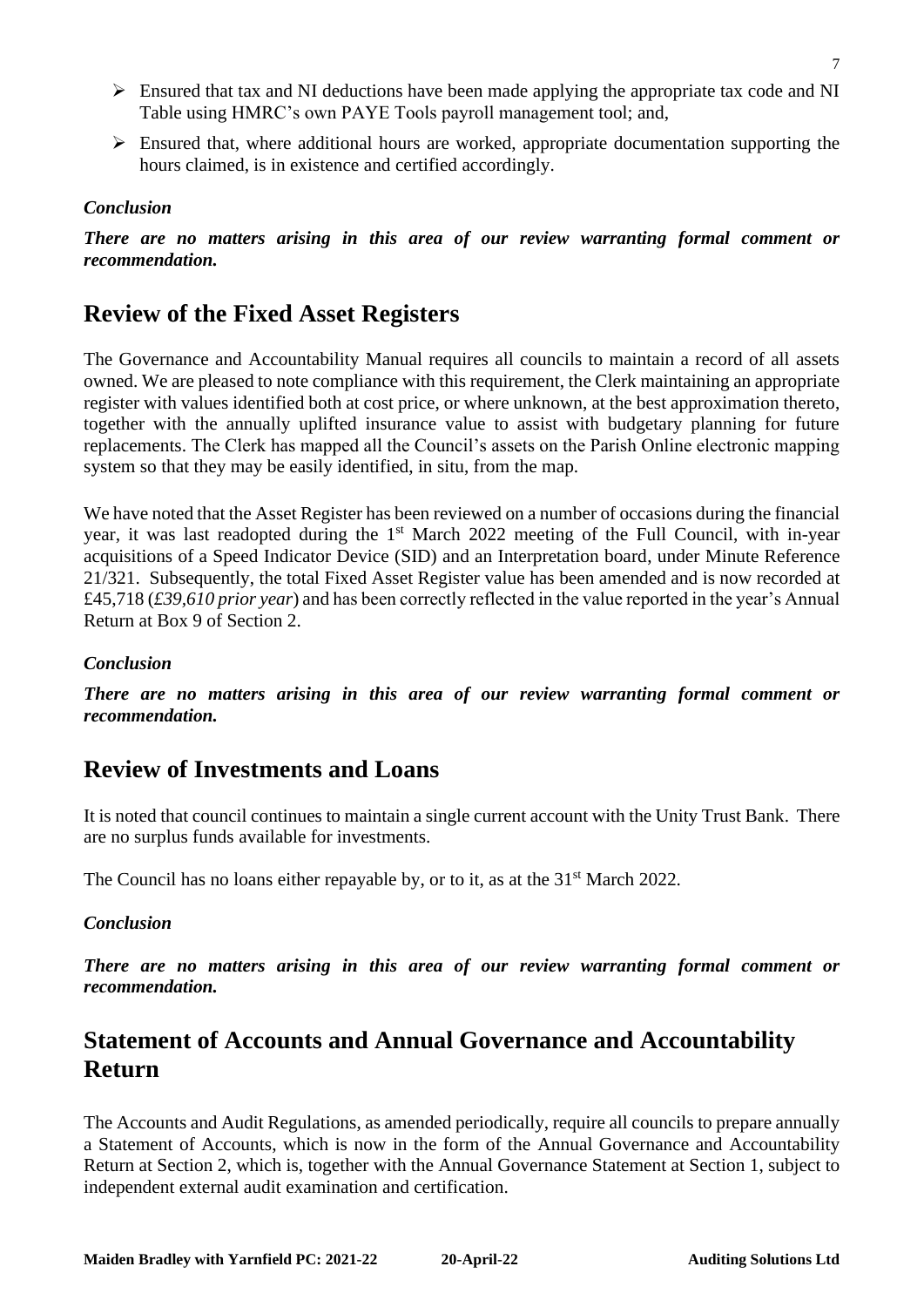- ➢ Ensured that tax and NI deductions have been made applying the appropriate tax code and NI Table using HMRC's own PAYE Tools payroll management tool; and,
- ➢ Ensured that, where additional hours are worked, appropriate documentation supporting the hours claimed, is in existence and certified accordingly.

#### *Conclusion*

*There are no matters arising in this area of our review warranting formal comment or recommendation.* 

# **Review of the Fixed Asset Registers**

The Governance and Accountability Manual requires all councils to maintain a record of all assets owned. We are pleased to note compliance with this requirement, the Clerk maintaining an appropriate register with values identified both at cost price, or where unknown, at the best approximation thereto, together with the annually uplifted insurance value to assist with budgetary planning for future replacements. The Clerk has mapped all the Council's assets on the Parish Online electronic mapping system so that they may be easily identified, in situ, from the map.

We have noted that the Asset Register has been reviewed on a number of occasions during the financial year, it was last readopted during the 1<sup>st</sup> March 2022 meeting of the Full Council, with in-year acquisitions of a Speed Indicator Device (SID) and an Interpretation board, under Minute Reference 21/321. Subsequently, the total Fixed Asset Register value has been amended and is now recorded at £45,718 (*£39,610 prior year*) and has been correctly reflected in the value reported in the year's Annual Return at Box 9 of Section 2.

#### *Conclusion*

*There are no matters arising in this area of our review warranting formal comment or recommendation.* 

### **Review of Investments and Loans**

It is noted that council continues to maintain a single current account with the Unity Trust Bank. There are no surplus funds available for investments.

The Council has no loans either repayable by, or to it, as at the  $31<sup>st</sup>$  March 2022.

#### *Conclusion*

*There are no matters arising in this area of our review warranting formal comment or recommendation.* 

### **Statement of Accounts and Annual Governance and Accountability Return**

The Accounts and Audit Regulations, as amended periodically, require all councils to prepare annually a Statement of Accounts, which is now in the form of the Annual Governance and Accountability Return at Section 2, which is, together with the Annual Governance Statement at Section 1, subject to independent external audit examination and certification.